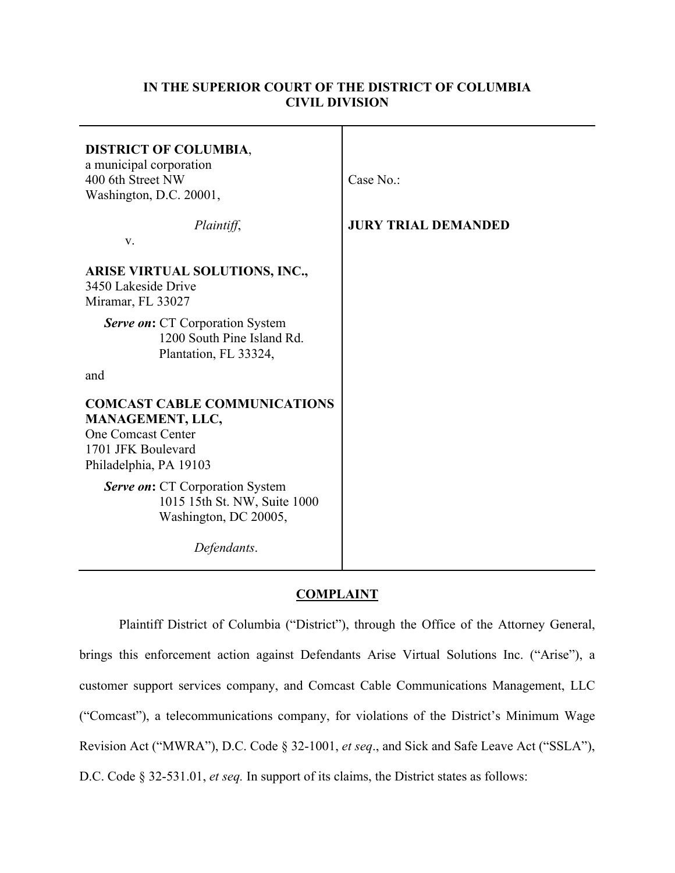# **IN THE SUPERIOR COURT OF THE DISTRICT OF COLUMBIA CIVIL DIVISION**

| <b>DISTRICT OF COLUMBIA,</b><br>a municipal corporation<br>400 6th Street NW<br>Washington, D.C. 20001,                              | Case No.:                  |
|--------------------------------------------------------------------------------------------------------------------------------------|----------------------------|
| Plaintiff,<br>V.                                                                                                                     | <b>JURY TRIAL DEMANDED</b> |
| <b>ARISE VIRTUAL SOLUTIONS, INC.,</b><br>3450 Lakeside Drive<br>Miramar, FL 33027                                                    |                            |
| <b>Serve on:</b> CT Corporation System<br>1200 South Pine Island Rd.<br>Plantation, FL 33324,                                        |                            |
| and                                                                                                                                  |                            |
| <b>COMCAST CABLE COMMUNICATIONS</b><br>MANAGEMENT, LLC,<br><b>One Comcast Center</b><br>1701 JFK Boulevard<br>Philadelphia, PA 19103 |                            |
| <b>Serve on:</b> CT Corporation System<br>1015 15th St. NW, Suite 1000<br>Washington, DC 20005,                                      |                            |
| Defendants.                                                                                                                          |                            |

# **COMPLAINT**

Plaintiff District of Columbia ("District"), through the Office of the Attorney General, brings this enforcement action against Defendants Arise Virtual Solutions Inc. ("Arise"), a customer support services company, and Comcast Cable Communications Management, LLC ("Comcast"), a telecommunications company, for violations of the District's Minimum Wage Revision Act ("MWRA"), D.C. Code § 32-1001, *et seq*., and Sick and Safe Leave Act ("SSLA"), D.C. Code § 32-531.01, *et seq.* In support of its claims, the District states as follows: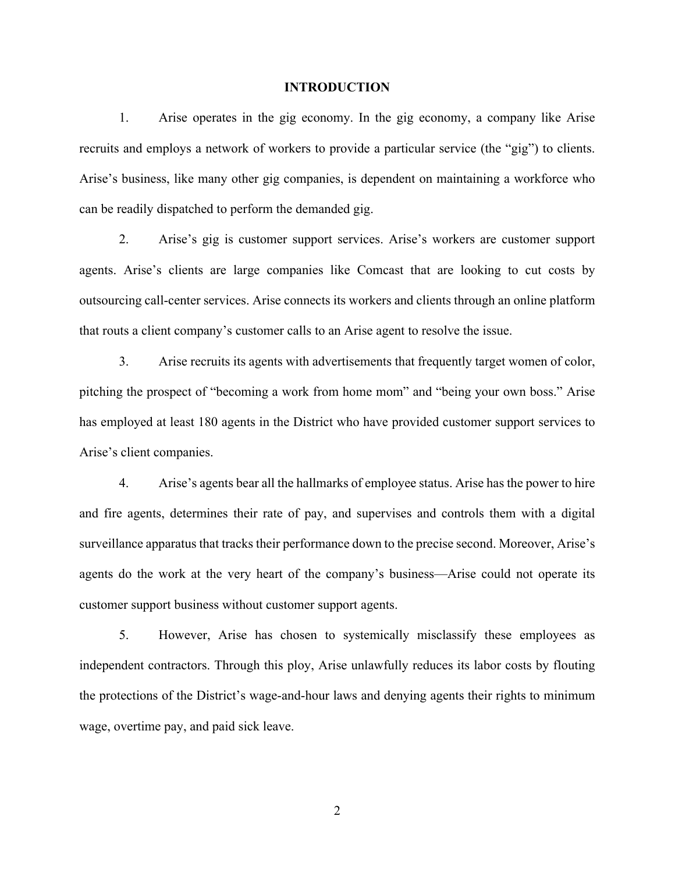#### **INTRODUCTION**

1. Arise operates in the gig economy. In the gig economy, a company like Arise recruits and employs a network of workers to provide a particular service (the "gig") to clients. Arise's business, like many other gig companies, is dependent on maintaining a workforce who can be readily dispatched to perform the demanded gig.

2. Arise's gig is customer support services. Arise's workers are customer support agents. Arise's clients are large companies like Comcast that are looking to cut costs by outsourcing call-center services. Arise connects its workers and clients through an online platform that routs a client company's customer calls to an Arise agent to resolve the issue.

3. Arise recruits its agents with advertisements that frequently target women of color, pitching the prospect of "becoming a work from home mom" and "being your own boss." Arise has employed at least 180 agents in the District who have provided customer support services to Arise's client companies.

4. Arise's agents bear all the hallmarks of employee status. Arise has the power to hire and fire agents, determines their rate of pay, and supervises and controls them with a digital surveillance apparatus that tracks their performance down to the precise second. Moreover, Arise's agents do the work at the very heart of the company's business—Arise could not operate its customer support business without customer support agents.

5. However, Arise has chosen to systemically misclassify these employees as independent contractors. Through this ploy, Arise unlawfully reduces its labor costs by flouting the protections of the District's wage-and-hour laws and denying agents their rights to minimum wage, overtime pay, and paid sick leave.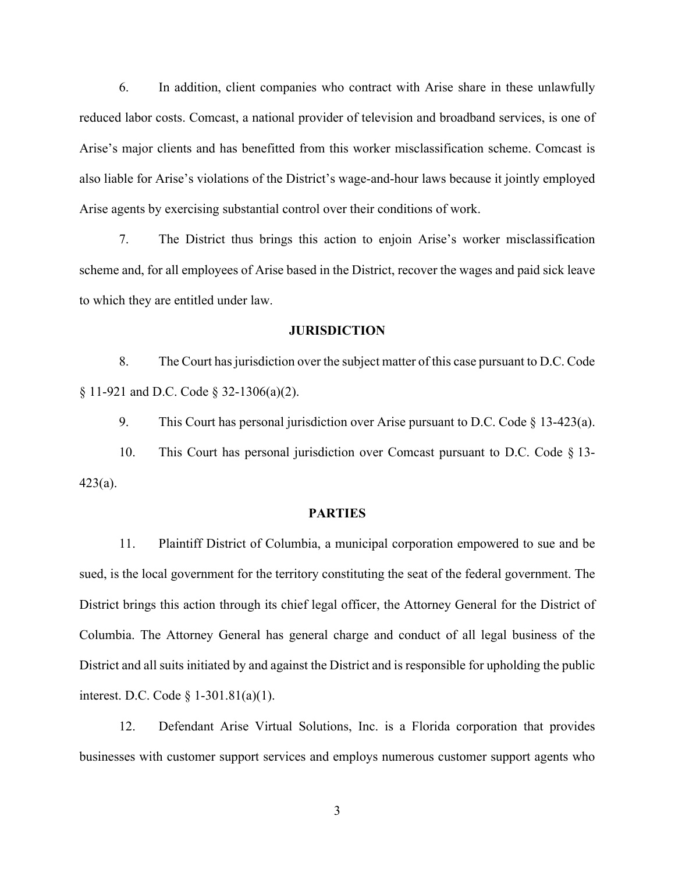6. In addition, client companies who contract with Arise share in these unlawfully reduced labor costs. Comcast, a national provider of television and broadband services, is one of Arise's major clients and has benefitted from this worker misclassification scheme. Comcast is also liable for Arise's violations of the District's wage-and-hour laws because it jointly employed Arise agents by exercising substantial control over their conditions of work.

7. The District thus brings this action to enjoin Arise's worker misclassification scheme and, for all employees of Arise based in the District, recover the wages and paid sick leave to which they are entitled under law.

#### **JURISDICTION**

8. The Court has jurisdiction over the subject matter of this case pursuant to D.C. Code § 11-921 and D.C. Code § 32-1306(a)(2).

9. This Court has personal jurisdiction over Arise pursuant to D.C. Code § 13-423(a).

10. This Court has personal jurisdiction over Comcast pursuant to D.C. Code § 13- 423(a).

### **PARTIES**

11. Plaintiff District of Columbia, a municipal corporation empowered to sue and be sued, is the local government for the territory constituting the seat of the federal government. The District brings this action through its chief legal officer, the Attorney General for the District of Columbia. The Attorney General has general charge and conduct of all legal business of the District and all suits initiated by and against the District and is responsible for upholding the public interest. D.C. Code § 1-301.81(a)(1).

12. Defendant Arise Virtual Solutions, Inc. is a Florida corporation that provides businesses with customer support services and employs numerous customer support agents who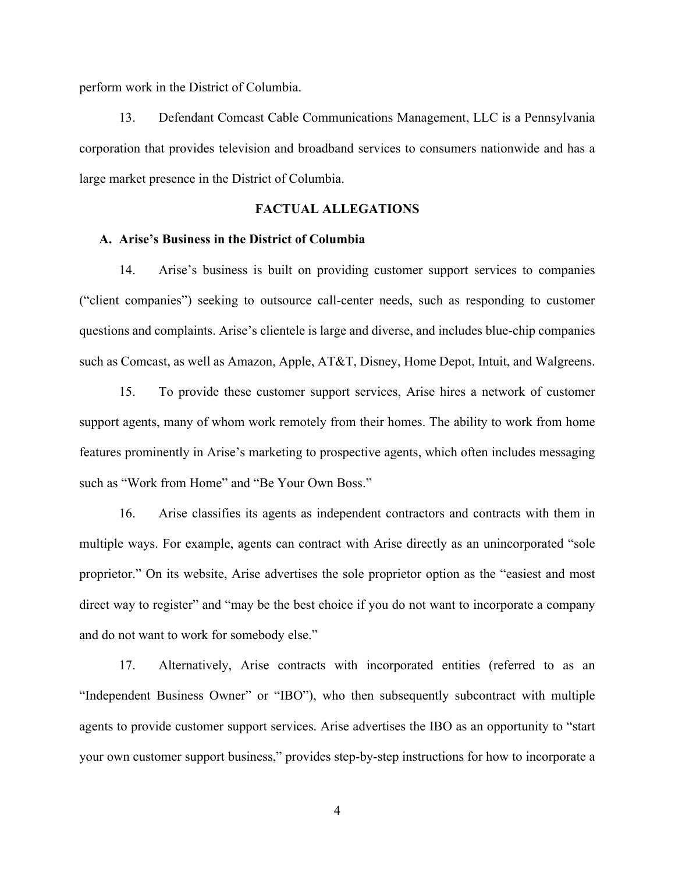perform work in the District of Columbia.

13. Defendant Comcast Cable Communications Management, LLC is a Pennsylvania corporation that provides television and broadband services to consumers nationwide and has a large market presence in the District of Columbia.

### **FACTUAL ALLEGATIONS**

# **A. Arise's Business in the District of Columbia**

14. Arise's business is built on providing customer support services to companies ("client companies") seeking to outsource call-center needs, such as responding to customer questions and complaints. Arise's clientele is large and diverse, and includes blue-chip companies such as Comcast, as well as Amazon, Apple, AT&T, Disney, Home Depot, Intuit, and Walgreens.

15. To provide these customer support services, Arise hires a network of customer support agents, many of whom work remotely from their homes. The ability to work from home features prominently in Arise's marketing to prospective agents, which often includes messaging such as "Work from Home" and "Be Your Own Boss."

16. Arise classifies its agents as independent contractors and contracts with them in multiple ways. For example, agents can contract with Arise directly as an unincorporated "sole proprietor." On its website, Arise advertises the sole proprietor option as the "easiest and most direct way to register" and "may be the best choice if you do not want to incorporate a company and do not want to work for somebody else."

17. Alternatively, Arise contracts with incorporated entities (referred to as an "Independent Business Owner" or "IBO"), who then subsequently subcontract with multiple agents to provide customer support services. Arise advertises the IBO as an opportunity to "start your own customer support business," provides step-by-step instructions for how to incorporate a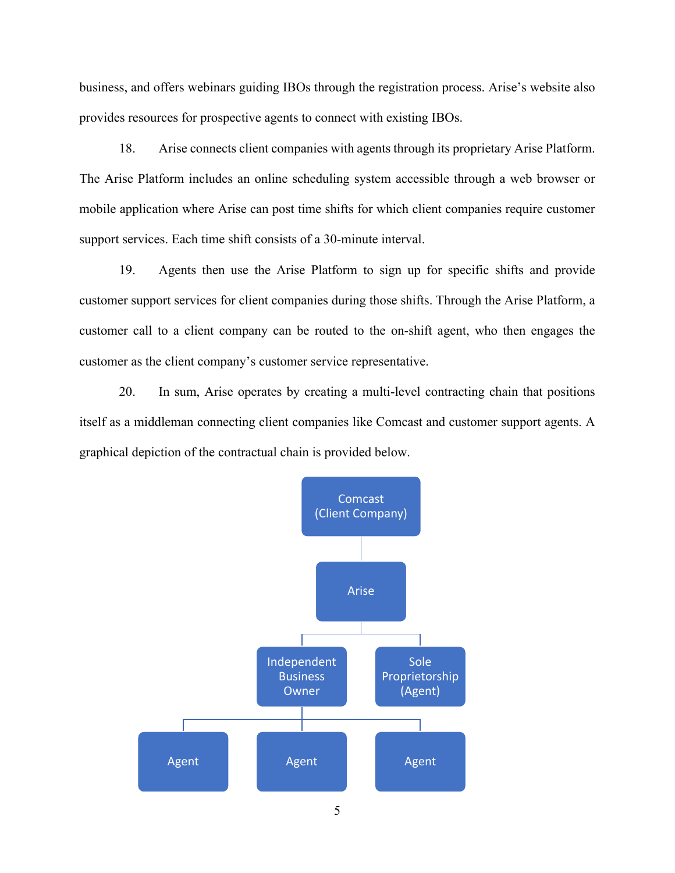business, and offers webinars guiding IBOs through the registration process. Arise's website also provides resources for prospective agents to connect with existing IBOs.

18. Arise connects client companies with agents through its proprietary Arise Platform. The Arise Platform includes an online scheduling system accessible through a web browser or mobile application where Arise can post time shifts for which client companies require customer support services. Each time shift consists of a 30-minute interval.

19. Agents then use the Arise Platform to sign up for specific shifts and provide customer support services for client companies during those shifts. Through the Arise Platform, a customer call to a client company can be routed to the on-shift agent, who then engages the customer as the client company's customer service representative.

20. In sum, Arise operates by creating a multi-level contracting chain that positions itself as a middleman connecting client companies like Comcast and customer support agents. A graphical depiction of the contractual chain is provided below.

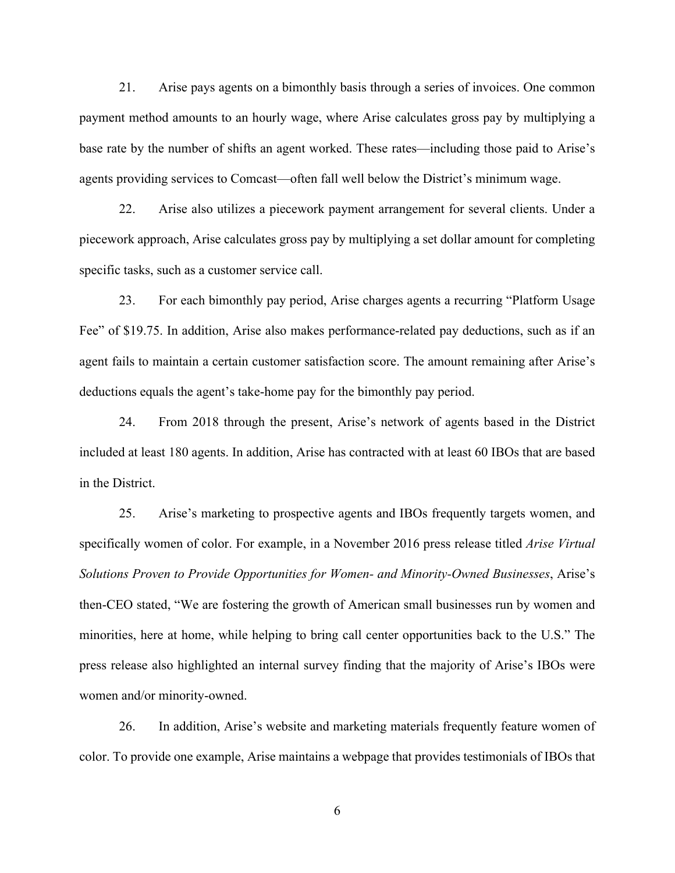21. Arise pays agents on a bimonthly basis through a series of invoices. One common payment method amounts to an hourly wage, where Arise calculates gross pay by multiplying a base rate by the number of shifts an agent worked. These rates—including those paid to Arise's agents providing services to Comcast—often fall well below the District's minimum wage.

22. Arise also utilizes a piecework payment arrangement for several clients. Under a piecework approach, Arise calculates gross pay by multiplying a set dollar amount for completing specific tasks, such as a customer service call.

23. For each bimonthly pay period, Arise charges agents a recurring "Platform Usage Fee" of \$19.75. In addition, Arise also makes performance-related pay deductions, such as if an agent fails to maintain a certain customer satisfaction score. The amount remaining after Arise's deductions equals the agent's take-home pay for the bimonthly pay period.

24. From 2018 through the present, Arise's network of agents based in the District included at least 180 agents. In addition, Arise has contracted with at least 60 IBOs that are based in the District.

25. Arise's marketing to prospective agents and IBOs frequently targets women, and specifically women of color. For example, in a November 2016 press release titled *Arise Virtual Solutions Proven to Provide Opportunities for Women- and Minority-Owned Businesses*, Arise's then-CEO stated, "We are fostering the growth of American small businesses run by women and minorities, here at home, while helping to bring call center opportunities back to the U.S." The press release also highlighted an internal survey finding that the majority of Arise's IBOs were women and/or minority-owned.

26. In addition, Arise's website and marketing materials frequently feature women of color. To provide one example, Arise maintains a webpage that provides testimonials of IBOs that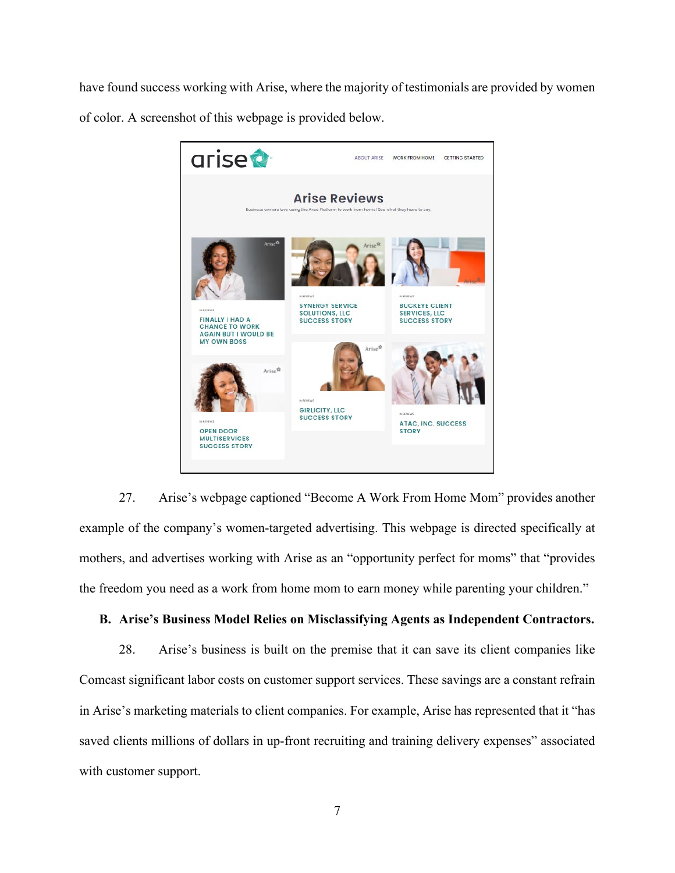have found success working with Arise, where the majority of testimonials are provided by women of color. A screenshot of this webpage is provided below.



27. Arise's webpage captioned "Become A Work From Home Mom" provides another example of the company's women-targeted advertising. This webpage is directed specifically at mothers, and advertises working with Arise as an "opportunity perfect for moms" that "provides the freedom you need as a work from home mom to earn money while parenting your children."

# **B. Arise's Business Model Relies on Misclassifying Agents as Independent Contractors.**

28. Arise's business is built on the premise that it can save its client companies like Comcast significant labor costs on customer support services. These savings are a constant refrain in Arise's marketing materials to client companies. For example, Arise has represented that it "has saved clients millions of dollars in up-front recruiting and training delivery expenses" associated with customer support.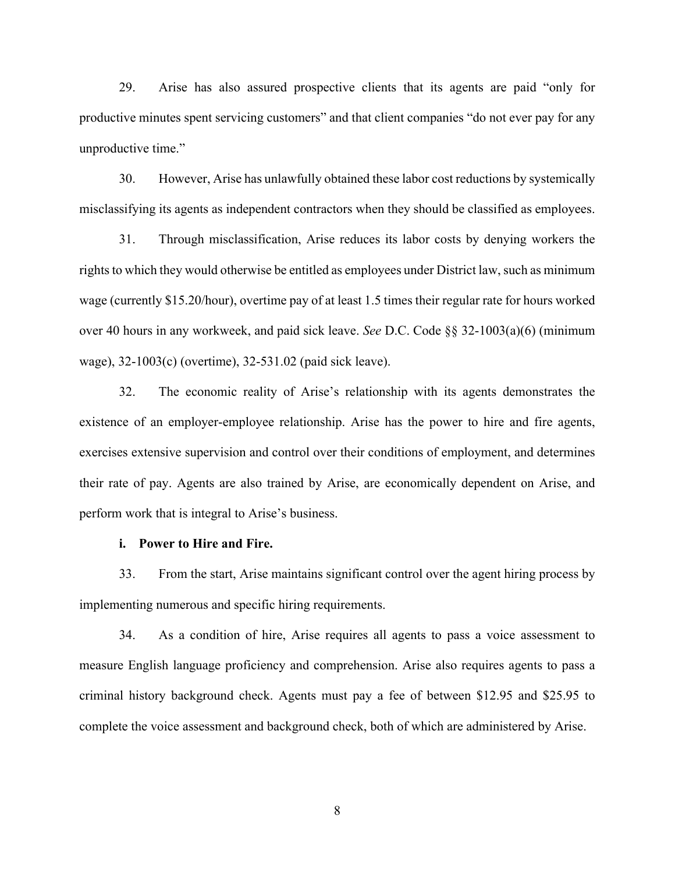29. Arise has also assured prospective clients that its agents are paid "only for productive minutes spent servicing customers" and that client companies "do not ever pay for any unproductive time."

30. However, Arise has unlawfully obtained these labor cost reductions by systemically misclassifying its agents as independent contractors when they should be classified as employees.

31. Through misclassification, Arise reduces its labor costs by denying workers the rights to which they would otherwise be entitled as employees under District law, such as minimum wage (currently \$15.20/hour), overtime pay of at least 1.5 times their regular rate for hours worked over 40 hours in any workweek, and paid sick leave. *See* D.C. Code §§ 32-1003(a)(6) (minimum wage), 32-1003(c) (overtime), 32-531.02 (paid sick leave).

32. The economic reality of Arise's relationship with its agents demonstrates the existence of an employer-employee relationship. Arise has the power to hire and fire agents, exercises extensive supervision and control over their conditions of employment, and determines their rate of pay. Agents are also trained by Arise, are economically dependent on Arise, and perform work that is integral to Arise's business.

### **i. Power to Hire and Fire.**

33. From the start, Arise maintains significant control over the agent hiring process by implementing numerous and specific hiring requirements.

34. As a condition of hire, Arise requires all agents to pass a voice assessment to measure English language proficiency and comprehension. Arise also requires agents to pass a criminal history background check. Agents must pay a fee of between \$12.95 and \$25.95 to complete the voice assessment and background check, both of which are administered by Arise.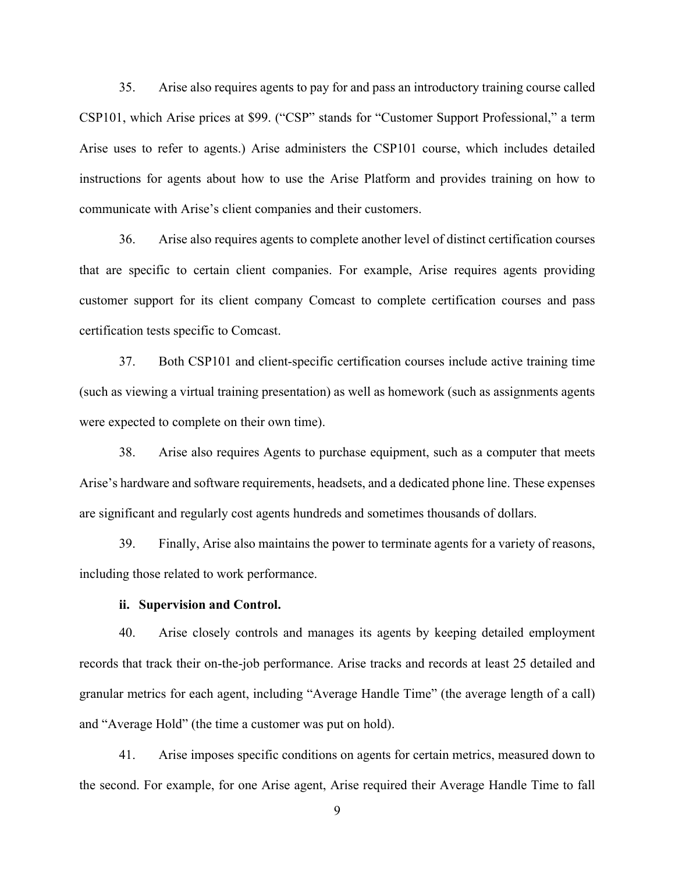35. Arise also requires agents to pay for and pass an introductory training course called CSP101, which Arise prices at \$99. ("CSP" stands for "Customer Support Professional," a term Arise uses to refer to agents.) Arise administers the CSP101 course, which includes detailed instructions for agents about how to use the Arise Platform and provides training on how to communicate with Arise's client companies and their customers.

36. Arise also requires agents to complete another level of distinct certification courses that are specific to certain client companies. For example, Arise requires agents providing customer support for its client company Comcast to complete certification courses and pass certification tests specific to Comcast.

37. Both CSP101 and client-specific certification courses include active training time (such as viewing a virtual training presentation) as well as homework (such as assignments agents were expected to complete on their own time).

38. Arise also requires Agents to purchase equipment, such as a computer that meets Arise's hardware and software requirements, headsets, and a dedicated phone line. These expenses are significant and regularly cost agents hundreds and sometimes thousands of dollars.

39. Finally, Arise also maintains the power to terminate agents for a variety of reasons, including those related to work performance.

# **ii. Supervision and Control.**

40. Arise closely controls and manages its agents by keeping detailed employment records that track their on-the-job performance. Arise tracks and records at least 25 detailed and granular metrics for each agent, including "Average Handle Time" (the average length of a call) and "Average Hold" (the time a customer was put on hold).

41. Arise imposes specific conditions on agents for certain metrics, measured down to the second. For example, for one Arise agent, Arise required their Average Handle Time to fall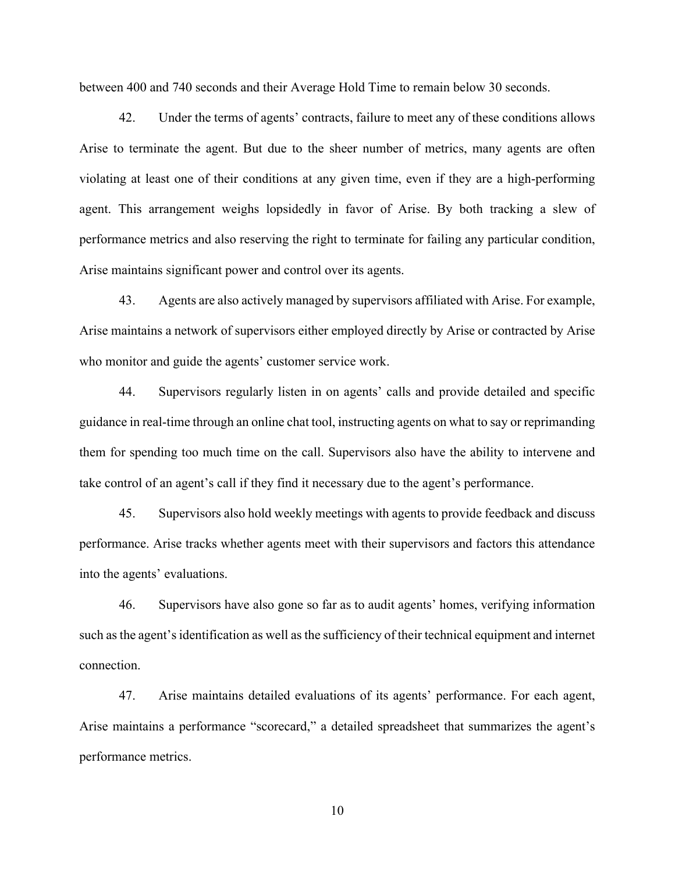between 400 and 740 seconds and their Average Hold Time to remain below 30 seconds.

42. Under the terms of agents' contracts, failure to meet any of these conditions allows Arise to terminate the agent. But due to the sheer number of metrics, many agents are often violating at least one of their conditions at any given time, even if they are a high-performing agent. This arrangement weighs lopsidedly in favor of Arise. By both tracking a slew of performance metrics and also reserving the right to terminate for failing any particular condition, Arise maintains significant power and control over its agents.

43. Agents are also actively managed by supervisors affiliated with Arise. For example, Arise maintains a network of supervisors either employed directly by Arise or contracted by Arise who monitor and guide the agents' customer service work.

44. Supervisors regularly listen in on agents' calls and provide detailed and specific guidance in real-time through an online chat tool, instructing agents on what to say or reprimanding them for spending too much time on the call. Supervisors also have the ability to intervene and take control of an agent's call if they find it necessary due to the agent's performance.

45. Supervisors also hold weekly meetings with agents to provide feedback and discuss performance. Arise tracks whether agents meet with their supervisors and factors this attendance into the agents' evaluations.

46. Supervisors have also gone so far as to audit agents' homes, verifying information such as the agent's identification as well as the sufficiency of their technical equipment and internet connection.

47. Arise maintains detailed evaluations of its agents' performance. For each agent, Arise maintains a performance "scorecard," a detailed spreadsheet that summarizes the agent's performance metrics.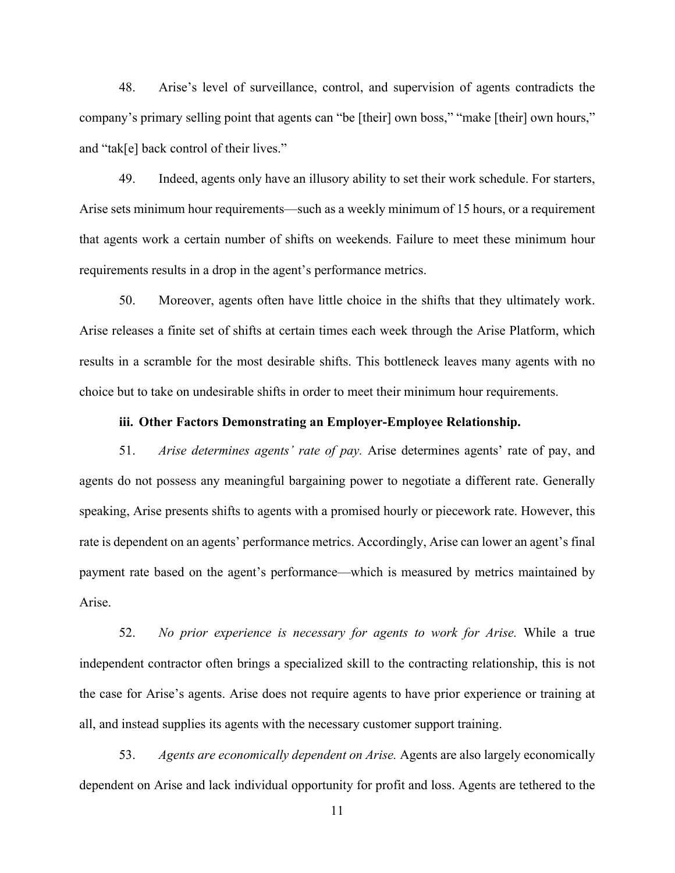48. Arise's level of surveillance, control, and supervision of agents contradicts the company's primary selling point that agents can "be [their] own boss," "make [their] own hours," and "tak[e] back control of their lives."

49. Indeed, agents only have an illusory ability to set their work schedule. For starters, Arise sets minimum hour requirements—such as a weekly minimum of 15 hours, or a requirement that agents work a certain number of shifts on weekends. Failure to meet these minimum hour requirements results in a drop in the agent's performance metrics.

50. Moreover, agents often have little choice in the shifts that they ultimately work. Arise releases a finite set of shifts at certain times each week through the Arise Platform, which results in a scramble for the most desirable shifts. This bottleneck leaves many agents with no choice but to take on undesirable shifts in order to meet their minimum hour requirements.

### **iii. Other Factors Demonstrating an Employer-Employee Relationship.**

51. *Arise determines agents' rate of pay.* Arise determines agents' rate of pay, and agents do not possess any meaningful bargaining power to negotiate a different rate. Generally speaking, Arise presents shifts to agents with a promised hourly or piecework rate. However, this rate is dependent on an agents' performance metrics. Accordingly, Arise can lower an agent's final payment rate based on the agent's performance—which is measured by metrics maintained by Arise.

52. *No prior experience is necessary for agents to work for Arise.* While a true independent contractor often brings a specialized skill to the contracting relationship, this is not the case for Arise's agents. Arise does not require agents to have prior experience or training at all, and instead supplies its agents with the necessary customer support training.

53. *Agents are economically dependent on Arise.* Agents are also largely economically dependent on Arise and lack individual opportunity for profit and loss. Agents are tethered to the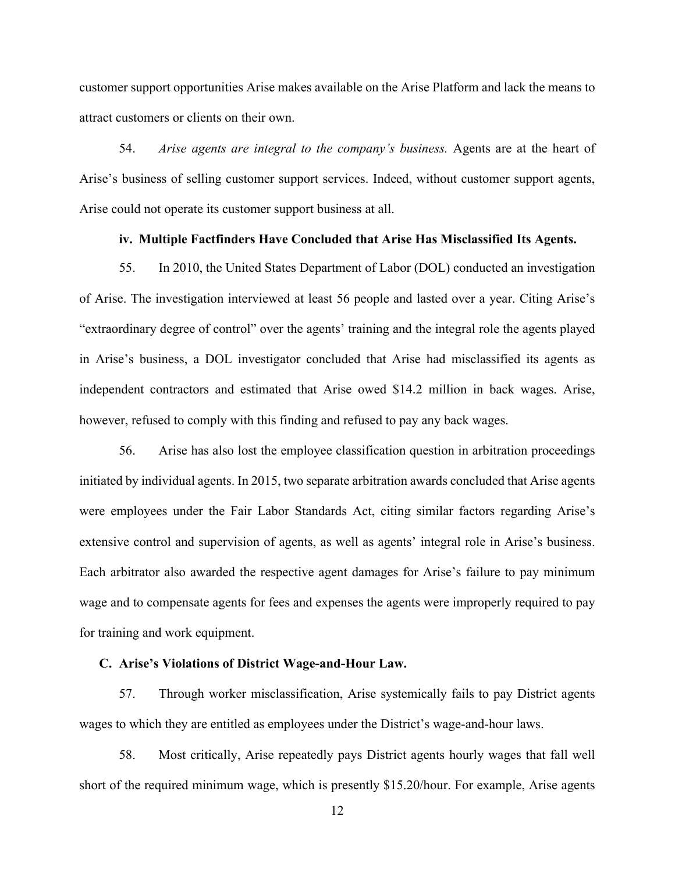customer support opportunities Arise makes available on the Arise Platform and lack the means to attract customers or clients on their own.

54. *Arise agents are integral to the company's business.* Agents are at the heart of Arise's business of selling customer support services. Indeed, without customer support agents, Arise could not operate its customer support business at all.

### **iv. Multiple Factfinders Have Concluded that Arise Has Misclassified Its Agents.**

55. In 2010, the United States Department of Labor (DOL) conducted an investigation of Arise. The investigation interviewed at least 56 people and lasted over a year. Citing Arise's "extraordinary degree of control" over the agents' training and the integral role the agents played in Arise's business, a DOL investigator concluded that Arise had misclassified its agents as independent contractors and estimated that Arise owed \$14.2 million in back wages. Arise, however, refused to comply with this finding and refused to pay any back wages.

56. Arise has also lost the employee classification question in arbitration proceedings initiated by individual agents. In 2015, two separate arbitration awards concluded that Arise agents were employees under the Fair Labor Standards Act, citing similar factors regarding Arise's extensive control and supervision of agents, as well as agents' integral role in Arise's business. Each arbitrator also awarded the respective agent damages for Arise's failure to pay minimum wage and to compensate agents for fees and expenses the agents were improperly required to pay for training and work equipment.

### **C. Arise's Violations of District Wage-and-Hour Law.**

57. Through worker misclassification, Arise systemically fails to pay District agents wages to which they are entitled as employees under the District's wage-and-hour laws.

58. Most critically, Arise repeatedly pays District agents hourly wages that fall well short of the required minimum wage, which is presently \$15.20/hour. For example, Arise agents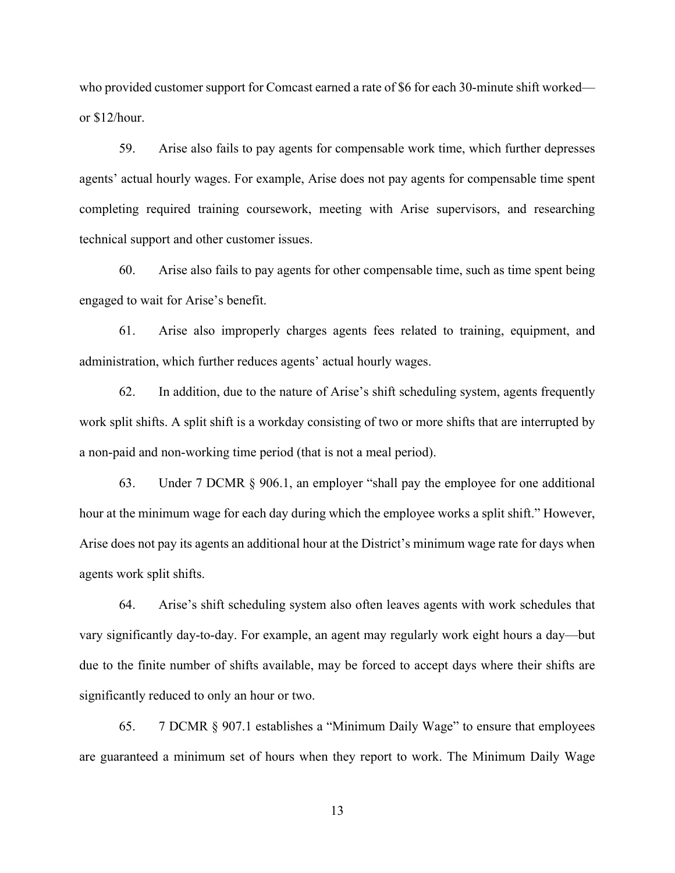who provided customer support for Comcast earned a rate of \$6 for each 30-minute shift worked or \$12/hour.

59. Arise also fails to pay agents for compensable work time, which further depresses agents' actual hourly wages. For example, Arise does not pay agents for compensable time spent completing required training coursework, meeting with Arise supervisors, and researching technical support and other customer issues.

60. Arise also fails to pay agents for other compensable time, such as time spent being engaged to wait for Arise's benefit.

61. Arise also improperly charges agents fees related to training, equipment, and administration, which further reduces agents' actual hourly wages.

62. In addition, due to the nature of Arise's shift scheduling system, agents frequently work split shifts. A split shift is a workday consisting of two or more shifts that are interrupted by a non-paid and non-working time period (that is not a meal period).

63. Under 7 DCMR § 906.1, an employer "shall pay the employee for one additional hour at the minimum wage for each day during which the employee works a split shift." However, Arise does not pay its agents an additional hour at the District's minimum wage rate for days when agents work split shifts.

64. Arise's shift scheduling system also often leaves agents with work schedules that vary significantly day-to-day. For example, an agent may regularly work eight hours a day—but due to the finite number of shifts available, may be forced to accept days where their shifts are significantly reduced to only an hour or two.

65. 7 DCMR § 907.1 establishes a "Minimum Daily Wage" to ensure that employees are guaranteed a minimum set of hours when they report to work. The Minimum Daily Wage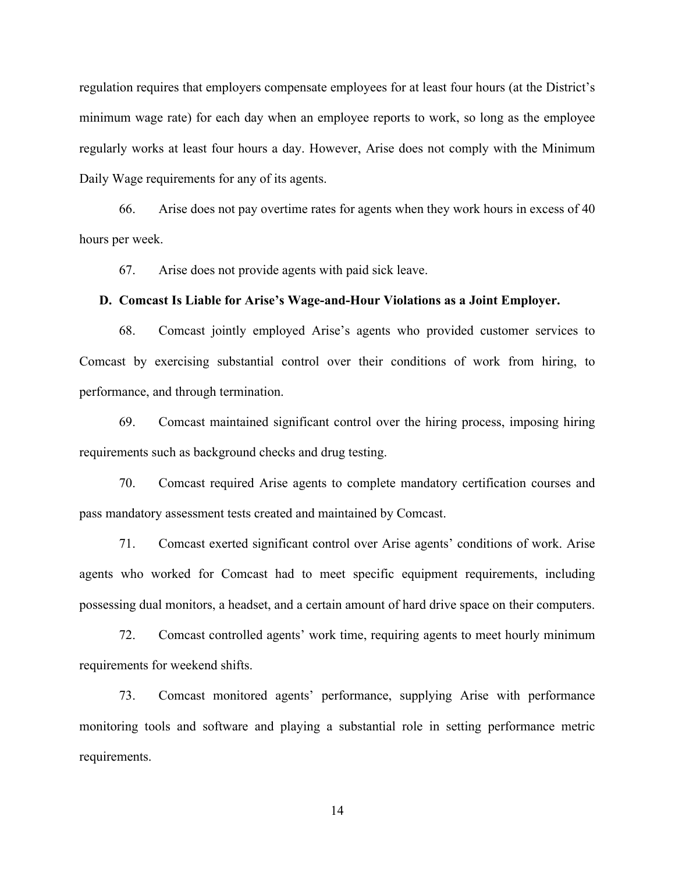regulation requires that employers compensate employees for at least four hours (at the District's minimum wage rate) for each day when an employee reports to work, so long as the employee regularly works at least four hours a day. However, Arise does not comply with the Minimum Daily Wage requirements for any of its agents.

66. Arise does not pay overtime rates for agents when they work hours in excess of 40 hours per week.

67. Arise does not provide agents with paid sick leave.

#### **D. Comcast Is Liable for Arise's Wage-and-Hour Violations as a Joint Employer.**

68. Comcast jointly employed Arise's agents who provided customer services to Comcast by exercising substantial control over their conditions of work from hiring, to performance, and through termination.

69. Comcast maintained significant control over the hiring process, imposing hiring requirements such as background checks and drug testing.

70. Comcast required Arise agents to complete mandatory certification courses and pass mandatory assessment tests created and maintained by Comcast.

71. Comcast exerted significant control over Arise agents' conditions of work. Arise agents who worked for Comcast had to meet specific equipment requirements, including possessing dual monitors, a headset, and a certain amount of hard drive space on their computers.

72. Comcast controlled agents' work time, requiring agents to meet hourly minimum requirements for weekend shifts.

73. Comcast monitored agents' performance, supplying Arise with performance monitoring tools and software and playing a substantial role in setting performance metric requirements.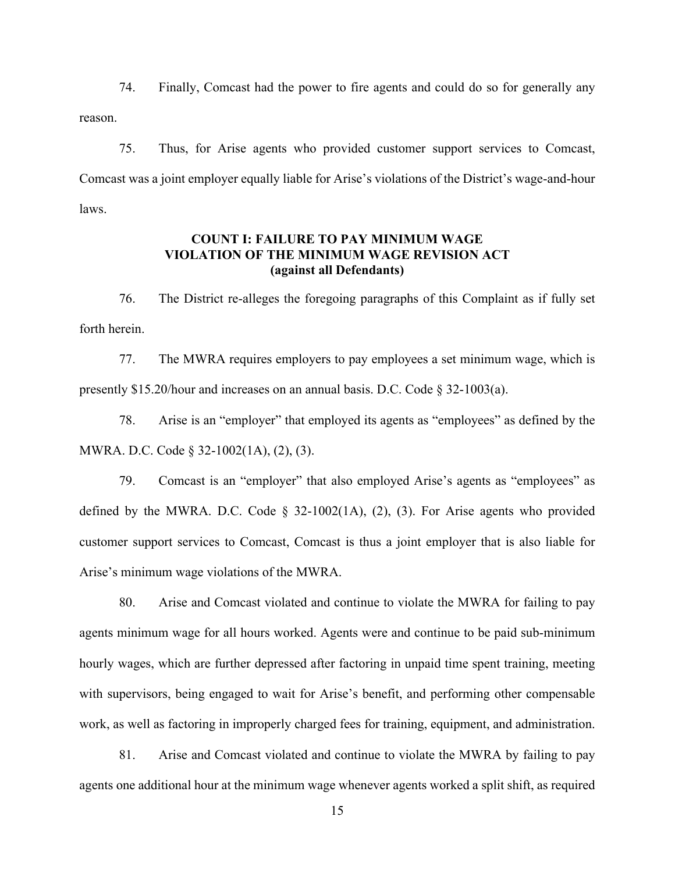74. Finally, Comcast had the power to fire agents and could do so for generally any reason.

75. Thus, for Arise agents who provided customer support services to Comcast, Comcast was a joint employer equally liable for Arise's violations of the District's wage-and-hour laws.

# **COUNT I: FAILURE TO PAY MINIMUM WAGE VIOLATION OF THE MINIMUM WAGE REVISION ACT (against all Defendants)**

76. The District re-alleges the foregoing paragraphs of this Complaint as if fully set forth herein.

77. The MWRA requires employers to pay employees a set minimum wage, which is presently \$15.20/hour and increases on an annual basis. D.C. Code § 32-1003(a).

78. Arise is an "employer" that employed its agents as "employees" as defined by the MWRA. D.C. Code § 32-1002(1A), (2), (3).

79. Comcast is an "employer" that also employed Arise's agents as "employees" as defined by the MWRA. D.C. Code  $\S$  32-1002(1A), (2), (3). For Arise agents who provided customer support services to Comcast, Comcast is thus a joint employer that is also liable for Arise's minimum wage violations of the MWRA.

80. Arise and Comcast violated and continue to violate the MWRA for failing to pay agents minimum wage for all hours worked. Agents were and continue to be paid sub-minimum hourly wages, which are further depressed after factoring in unpaid time spent training, meeting with supervisors, being engaged to wait for Arise's benefit, and performing other compensable work, as well as factoring in improperly charged fees for training, equipment, and administration.

81. Arise and Comcast violated and continue to violate the MWRA by failing to pay agents one additional hour at the minimum wage whenever agents worked a split shift, as required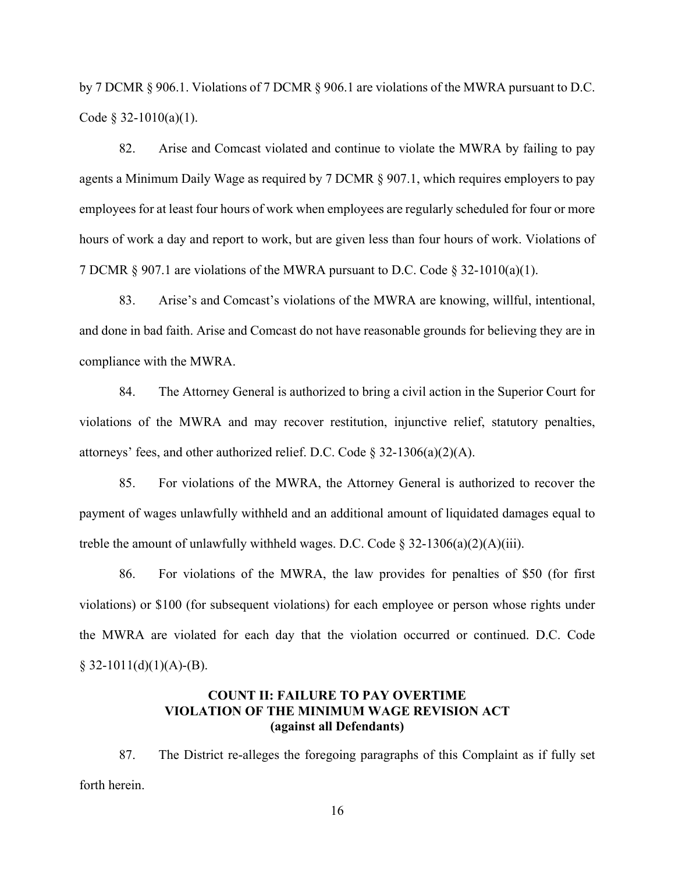by 7 DCMR § 906.1. Violations of 7 DCMR § 906.1 are violations of the MWRA pursuant to D.C. Code  $§$  32-1010(a)(1).

82. Arise and Comcast violated and continue to violate the MWRA by failing to pay agents a Minimum Daily Wage as required by 7 DCMR § 907.1, which requires employers to pay employees for at least four hours of work when employees are regularly scheduled for four or more hours of work a day and report to work, but are given less than four hours of work. Violations of 7 DCMR  $\S 907.1$  are violations of the MWRA pursuant to D.C. Code  $\S 32-1010(a)(1)$ .

83. Arise's and Comcast's violations of the MWRA are knowing, willful, intentional, and done in bad faith. Arise and Comcast do not have reasonable grounds for believing they are in compliance with the MWRA.

84. The Attorney General is authorized to bring a civil action in the Superior Court for violations of the MWRA and may recover restitution, injunctive relief, statutory penalties, attorneys' fees, and other authorized relief. D.C. Code  $\S$  32-1306(a)(2)(A).

85. For violations of the MWRA, the Attorney General is authorized to recover the payment of wages unlawfully withheld and an additional amount of liquidated damages equal to treble the amount of unlawfully withheld wages. D.C. Code  $\S$  32-1306(a)(2)(A)(iii).

86. For violations of the MWRA, the law provides for penalties of \$50 (for first violations) or \$100 (for subsequent violations) for each employee or person whose rights under the MWRA are violated for each day that the violation occurred or continued. D.C. Code  $§$  32-1011(d)(1)(A)-(B).

# **COUNT II: FAILURE TO PAY OVERTIME VIOLATION OF THE MINIMUM WAGE REVISION ACT (against all Defendants)**

87. The District re-alleges the foregoing paragraphs of this Complaint as if fully set forth herein.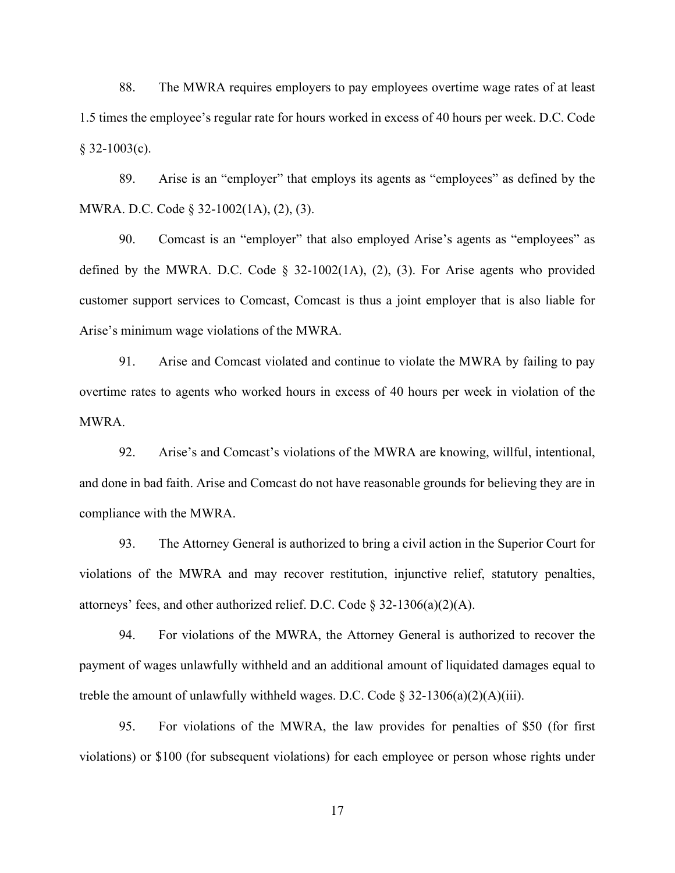88. The MWRA requires employers to pay employees overtime wage rates of at least 1.5 times the employee's regular rate for hours worked in excess of 40 hours per week. D.C. Code  $§$  32-1003(c).

89. Arise is an "employer" that employs its agents as "employees" as defined by the MWRA. D.C. Code § 32-1002(1A), (2), (3).

90. Comcast is an "employer" that also employed Arise's agents as "employees" as defined by the MWRA. D.C. Code  $\S$  32-1002(1A), (2), (3). For Arise agents who provided customer support services to Comcast, Comcast is thus a joint employer that is also liable for Arise's minimum wage violations of the MWRA.

91. Arise and Comcast violated and continue to violate the MWRA by failing to pay overtime rates to agents who worked hours in excess of 40 hours per week in violation of the MWRA.

92. Arise's and Comcast's violations of the MWRA are knowing, willful, intentional, and done in bad faith. Arise and Comcast do not have reasonable grounds for believing they are in compliance with the MWRA.

93. The Attorney General is authorized to bring a civil action in the Superior Court for violations of the MWRA and may recover restitution, injunctive relief, statutory penalties, attorneys' fees, and other authorized relief. D.C. Code  $\S$  32-1306(a)(2)(A).

94. For violations of the MWRA, the Attorney General is authorized to recover the payment of wages unlawfully withheld and an additional amount of liquidated damages equal to treble the amount of unlawfully withheld wages. D.C. Code  $\S 32-1306(a)(2)(A)(iii)$ .

95. For violations of the MWRA, the law provides for penalties of \$50 (for first violations) or \$100 (for subsequent violations) for each employee or person whose rights under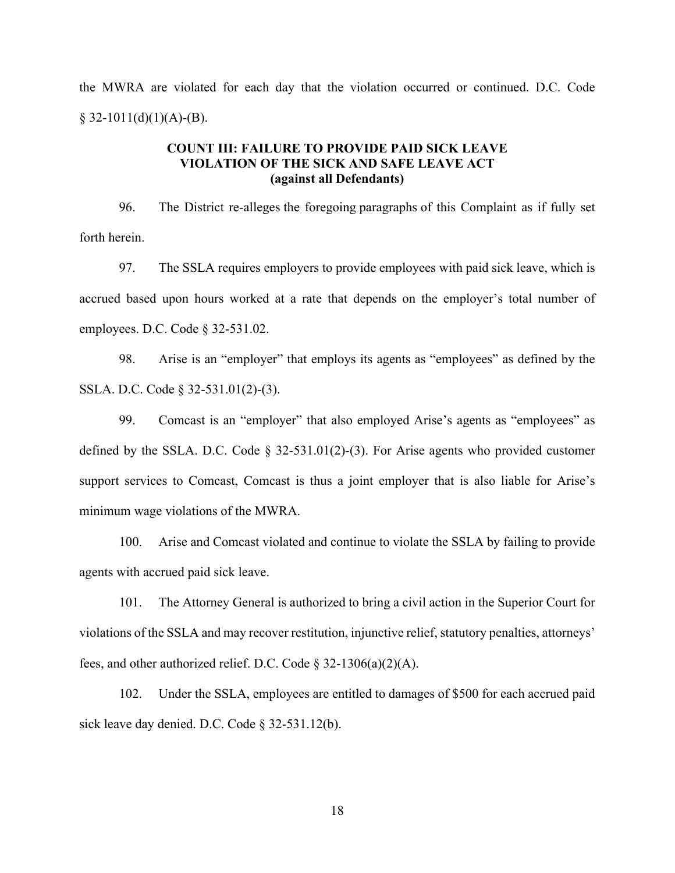the MWRA are violated for each day that the violation occurred or continued. D.C. Code  $§$  32-1011(d)(1)(A)-(B).

### **COUNT III: FAILURE TO PROVIDE PAID SICK LEAVE VIOLATION OF THE SICK AND SAFE LEAVE ACT (against all Defendants)**

96. The District re-alleges the foregoing paragraphs of this Complaint as if fully set forth herein.

97. The SSLA requires employers to provide employees with paid sick leave, which is accrued based upon hours worked at a rate that depends on the employer's total number of employees. D.C. Code § 32-531.02.

98. Arise is an "employer" that employs its agents as "employees" as defined by the SSLA. D.C. Code § 32-531.01(2)-(3).

99. Comcast is an "employer" that also employed Arise's agents as "employees" as defined by the SSLA. D.C. Code § 32-531.01(2)-(3). For Arise agents who provided customer support services to Comcast, Comcast is thus a joint employer that is also liable for Arise's minimum wage violations of the MWRA.

100. Arise and Comcast violated and continue to violate the SSLA by failing to provide agents with accrued paid sick leave.

101. The Attorney General is authorized to bring a civil action in the Superior Court for violations of the SSLA and may recover restitution, injunctive relief, statutory penalties, attorneys' fees, and other authorized relief. D.C. Code  $\S$  32-1306(a)(2)(A).

102. Under the SSLA, employees are entitled to damages of \$500 for each accrued paid sick leave day denied. D.C. Code § 32-531.12(b).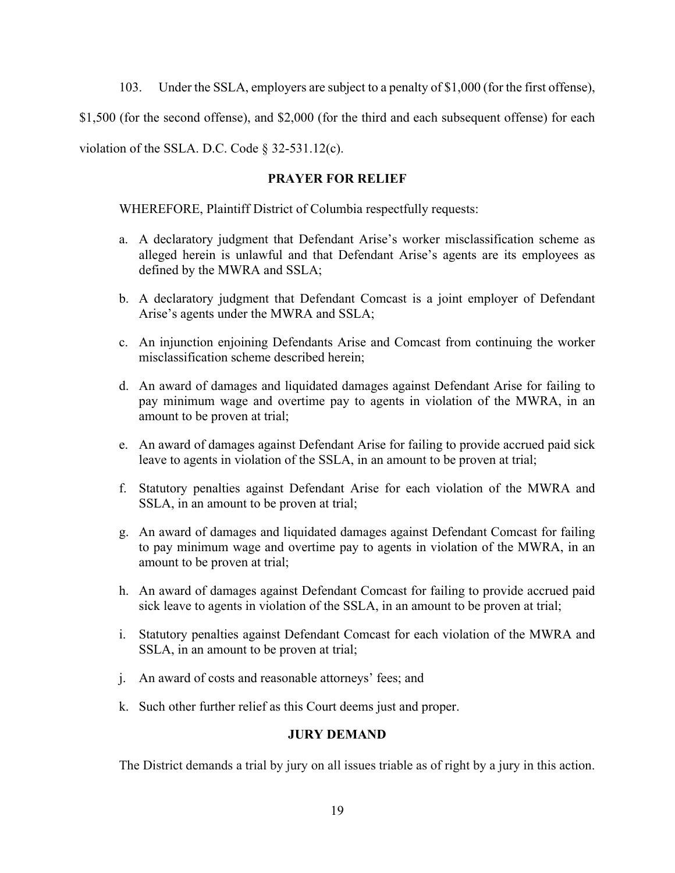103. Under the SSLA, employers are subject to a penalty of \$1,000 (for the first offense),

\$1,500 (for the second offense), and \$2,000 (for the third and each subsequent offense) for each

violation of the SSLA. D.C. Code § 32-531.12(c).

### **PRAYER FOR RELIEF**

WHEREFORE, Plaintiff District of Columbia respectfully requests:

- a. A declaratory judgment that Defendant Arise's worker misclassification scheme as alleged herein is unlawful and that Defendant Arise's agents are its employees as defined by the MWRA and SSLA;
- b. A declaratory judgment that Defendant Comcast is a joint employer of Defendant Arise's agents under the MWRA and SSLA;
- c. An injunction enjoining Defendants Arise and Comcast from continuing the worker misclassification scheme described herein;
- d. An award of damages and liquidated damages against Defendant Arise for failing to pay minimum wage and overtime pay to agents in violation of the MWRA, in an amount to be proven at trial;
- e. An award of damages against Defendant Arise for failing to provide accrued paid sick leave to agents in violation of the SSLA, in an amount to be proven at trial;
- f. Statutory penalties against Defendant Arise for each violation of the MWRA and SSLA, in an amount to be proven at trial;
- g. An award of damages and liquidated damages against Defendant Comcast for failing to pay minimum wage and overtime pay to agents in violation of the MWRA, in an amount to be proven at trial;
- h. An award of damages against Defendant Comcast for failing to provide accrued paid sick leave to agents in violation of the SSLA, in an amount to be proven at trial;
- i. Statutory penalties against Defendant Comcast for each violation of the MWRA and SSLA, in an amount to be proven at trial;
- j. An award of costs and reasonable attorneys' fees; and
- k. Such other further relief as this Court deems just and proper.

## **JURY DEMAND**

The District demands a trial by jury on all issues triable as of right by a jury in this action.